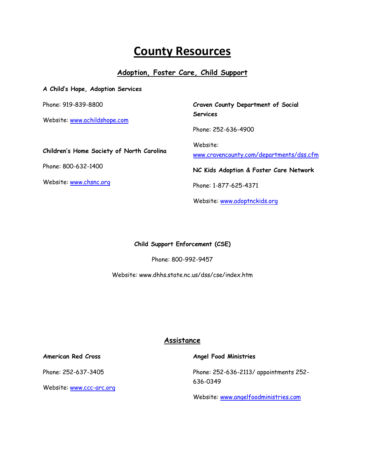# **County Resources**

# **Adoption, Foster Care, Child Support**

**A Child's Hope, Adoption Services**

Phone: 919-839-8800

Website: [www.achildshope.com](http://www.achildshope.com/)

**Craven County Department of Social Services**

Phone: 252-636-4900

**Children's Home Society of North Carolina**

Phone: 800-632-1400

Website: [www.chsnc.org](http://www.chsnc.org/)

Website: [www.cravencounty.com/departments/dss.cfm](http://www.cravencounty.com/departments/dss.cfm)

**NC Kids Adoption & Foster Care Network**

Phone: 1-877-625-4371

Website: [www.adoptnckids.org](http://www.adoptnckids.org/)

**Child Support Enforcement (CSE)**

Phone: 800-992-9457

Website: www.dhhs.state.nc.us/dss/cse/index.htm

#### **Assistance**

**American Red Cross**

**Angel Food Ministries**

Phone: 252-636-2113/ appointments 252- 636-0349

Website: [www.angelfoodministries.com](http://www.angelfoodministries.com/)

Phone: 252-637-3405

Website: [www.ccc-arc.org](http://www.ccc-arc.org/)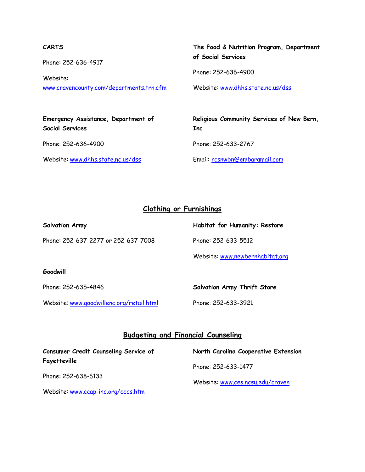| <b>CARTS</b>                                           | The Food & Nutrition Program, Department<br>of Social Services |  |
|--------------------------------------------------------|----------------------------------------------------------------|--|
| Phone: 252-636-4917                                    | Phone: 252-636-4900                                            |  |
| Website:<br>www.cravencounty.com/departments.trn.cfm   | Website: www.dhhs.state.nc.us/dss                              |  |
| Emergency Assistance, Department of<br>Social Services | Religious Community Services of New Bern,<br>Inc               |  |
| Phone: 252-636-4900                                    | Phone: 252-633-2767                                            |  |
| Website: www.dhhs.state.nc.us/dss                      | Email: rcsnwbn@embargmail.com                                  |  |

# **Clothing or Furnishings**

| <b>Salvation Army</b>                    | Habitat for Humanity: Restore      |
|------------------------------------------|------------------------------------|
| Phone: 252-637-2277 or 252-637-7008      | Phone: 252-633-5512                |
|                                          | Website: www.newbernhabitat.org    |
| Goodwill                                 |                                    |
| Phone: 252-635-4846                      | <b>Salvation Army Thrift Store</b> |
| Website: www.goodwillenc.org/retail.html | Phone: 252-633-3921                |

# **Budgeting and Financial Counseling**

**Consumer Credit Counseling Service of Fayetteville** Phone: 252-638-6133 Website: [www.ccap-inc.org/cccs.htm](http://www.ccap-inc.org/cccs.htm) **North Carolina Cooperative Extension** Phone: 252-633-1477 Website: [www.ces.ncsu.edu/craven](http://www.ces.ncsu.edu/craven)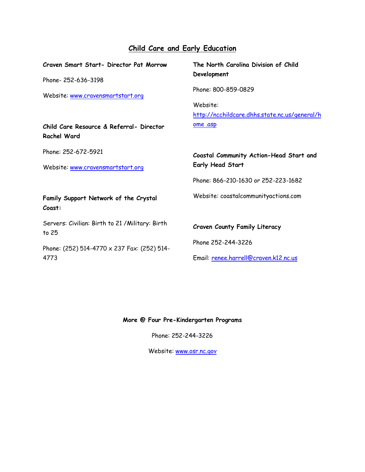# **Child Care and Early Education**

| Craven Smart Start- Director Pat Morrow                        | The North Carolina Division of Child                        |
|----------------------------------------------------------------|-------------------------------------------------------------|
| Phone-252-636-3198                                             | Development                                                 |
| Website: www.cravensmartstart.org                              | Phone: 800-859-0829                                         |
|                                                                | Website:                                                    |
|                                                                | http://ncchildcare.dhhs.state.nc.us/general/h               |
| Child Care Resource & Referral- Director<br><b>Rachel Ward</b> | <u>ome</u> asp                                              |
| Phone: 252-672-5921                                            | Coastal Community Action-Head Start and<br>Early Head Start |
| Website: www.cravensmartstart.org                              |                                                             |
|                                                                | Phone: 866-210-1630 or 252-223-1682                         |
| Family Support Network of the Crystal<br>Coast:                | Website: coastalcommunityactions.com                        |
| Servers: Civilian: Birth to 21 / Military: Birth<br>to 25      | <b>Craven County Family Literacy</b>                        |
|                                                                | Phone 252-244-3226                                          |
| Phone: (252) 514-4770 x 237 Fax: (252) 514-<br>4773            | Email: renee.harrell@craven.k12.nc.us                       |

**More @ Four Pre-Kindergarten Programs**

Phone: 252-244-3226

Website: [www.osr.nc.gov](http://www.osr.nc.gov/)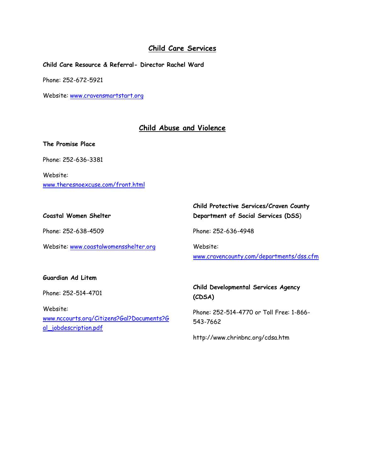# **Child Care Services**

**Child Care Resource & Referral- Director Rachel Ward**

Phone: 252-672-5921

Website: [www.cravensmartstart.org](http://www.cravensmartstart.org/)

#### **Child Abuse and Violence**

**The Promise Place**

Phone: 252-636-3381

Website: [www.theresnoexcuse.com/front.html](http://www.theresnoexcuse.com/front.html)

#### **Coastal Women Shelter**

Phone: 252-638-4509

Website: [www.coastalwomensshelter.org](http://www.coastalwomensshelter.org/)

**Child Protective Services/Craven County Department of Social Services (DSS**)

Phone: 252-636-4948

Website: [www.cravencounty.com/departments/dss.cfm](http://www.cravencounty.com/departments/dss.cfm)

#### **Guardian Ad Litem**

Phone: 252-514-4701

Website: [www.nccourts.org/Citizens?Gal?Documents?G](http://www.nccourts.org/Citizens?Gal?Documents?Gal_jobdescription.pdf) [al\\_jobdescription.pdf](http://www.nccourts.org/Citizens?Gal?Documents?Gal_jobdescription.pdf)

# **Child Developmental Services Agency (CDSA)**

Phone: 252-514-4770 or Toll Free: 1-866- 543-7662

http://www.chrinbnc.org/cdsa.htm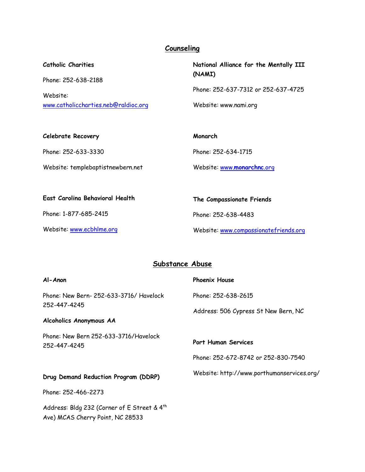# **Counseling**

## **Catholic Charities**

Phone: 252-638-2188

Website: [www.catholiccharties.neb@raldioc.org](http://www.catholiccharties.neb@raldioc.org/) **National Alliance for the Mentally III (NAMI)** Phone: 252-637-7312 or 252-637-4725 Website: www.nami.org

| <b>Celebrate Recovery</b>         | Monarch                    |  |
|-----------------------------------|----------------------------|--|
| Phone: 252-633-3330               | Phone: 252-634-1715        |  |
| Website: templebaptistnewbern.net | Website: www.monarchnc.org |  |

| East Carolina Behavioral Health | The Compassionate Friends             |
|---------------------------------|---------------------------------------|
| Phone: 1-877-685-2415           | Phone: 252-638-4483                   |
| Website: www.ecbhlme.org        | Website: www.compassionatefriends.org |

# **Substance Abuse**

| Al-Anon                                                                         | <b>Phoenix House</b>                       |
|---------------------------------------------------------------------------------|--------------------------------------------|
| Phone: New Bern- 252-633-3716/ Havelock                                         | Phone: 252-638-2615                        |
| 252-447-4245<br>Alcoholics Anonymous AA                                         | Address: 506 Cypress St New Bern, NC       |
|                                                                                 |                                            |
| Phone: New Bern 252-633-3716/Havelock<br>252-447-4245                           | <b>Port Human Services</b>                 |
|                                                                                 | Phone: 252-672-8742 or 252-830-7540        |
| Drug Demand Reduction Program (DDRP)                                            | Website: http://www.porthumanservices.org/ |
| Phone: 252-466-2273                                                             |                                            |
| Address: Bldg 232 (Corner of E Street & 4th<br>Ave) MCAS Cherry Point, NC 28533 |                                            |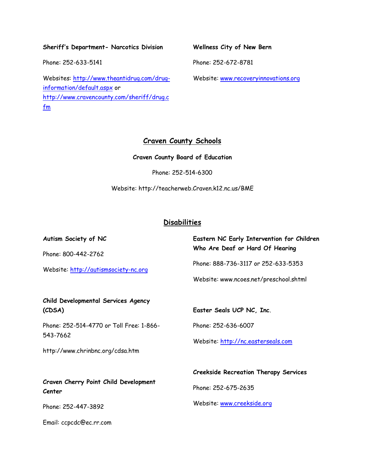#### **Sheriff's Department- Narcotics Division**

Phone: 252-633-5141

Websites: [http://www.theantidrug.com/drug](http://www.theantidrug.com/drug-information/default.aspx)[information/default.aspx](http://www.theantidrug.com/drug-information/default.aspx) or [http://www.cravencounty.com/sheriff/drug.c](http://www.cravencounty.com/sheriff/drug.cfm) [fm](http://www.cravencounty.com/sheriff/drug.cfm)

**Wellness City of New Bern**

Phone: 252-672-8781

Website: [www.recoveryinnovations.org](http://www.recoveryinnovations.org/)

## **Craven County Schools**

**Craven County Board of Education**

Phone: 252-514-6300

Website: http://teacherweb.Craven.k12.nc.us/BME

## **Disabilities**

| Autism Society of NC                            | Eastern NC Early Intervention for Children   |
|-------------------------------------------------|----------------------------------------------|
| Phone: 800-442-2762                             | Who Are Deaf or Hard Of Hearing              |
| Website: http://autismsociety-nc.org            | Phone: 888-736-3117 or 252-633-5353          |
|                                                 | Website: www.ncoes.net/preschool.shtml       |
| Child Developmental Services Agency             |                                              |
| (CDSA)                                          | Easter Seals UCP NC, Inc.                    |
| Phone: 252-514-4770 or Toll Free: 1-866-        | Phone: 252-636-6007                          |
| 543-7662                                        | Website: http://nc.easterseals.com           |
| http://www.chrinbnc.org/cdsa.htm                |                                              |
|                                                 | <b>Creekside Recreation Therapy Services</b> |
| Craven Cherry Point Child Development<br>Center | Phone: 252-675-2635                          |
| Phone: 252-447-3892                             | Website: www.creekside.org                   |
| Email: ccpcdc@ec.rr.com                         |                                              |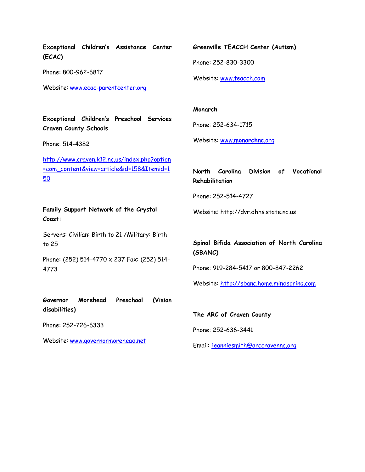**Exceptional Children's Assistance Center (ECAC)**

Phone: 800-962-6817

Website: [www.ecac-parentcenter.org](http://www.ecac-parentcenter.org/)

**Exceptional Children's Preschool Services Craven County Schools**

Phone: 514-4382

[http://www.craven.k12.nc.us/index.php?option](http://www.craven.k12.nc.us/index.php?option=com_content&view=article&id=158&Itemid=150) [=com\\_content&view=article&id=158&Itemid=1](http://www.craven.k12.nc.us/index.php?option=com_content&view=article&id=158&Itemid=150) [50](http://www.craven.k12.nc.us/index.php?option=com_content&view=article&id=158&Itemid=150)

**Family Support Network of the Crystal Coast:** 

Servers: Civilian: Birth to 21 /Military: Birth to 25

Phone: (252) 514-4770 x 237 Fax: (252) 514- 4773

**Governor Morehead Preschool (Vision disabilities)**

Phone: 252-726-6333

Website: [www.governormorehead.net](http://www.governormorehead.net/)

**Greenville TEACCH Center (Autism)**

Phone: 252-830-3300

Website: [www.teacch.com](http://www.teacch.com/)

**Monarch**

Phone: 252-634-1715

Website: www.**[monarchnc](http://www.monarchnc.org/)**.org

## **North Carolina Division of Vocational Rehabilitation**

Phone: 252-514-4727

Website: http://dvr.dhhs.state.nc.us

# **Spinal Bifida Association of North Carolina (SBANC)**

Phone: 919-284-5417 or 800-847-2262

Website: [http://sbanc.home.mindspring.com](http://sbanc.home.mindspring.com/)

**The ARC of Craven County**

Phone: 252-636-3441

Email: [jeanniesmith@arccravennc.org](mailto:jeanniesmith@arccravennc.org)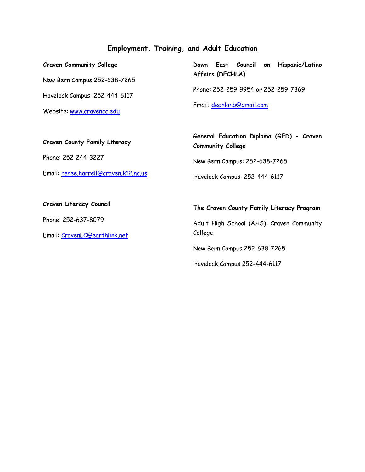# **Employment, Training, and Adult Education**

**Craven Community College** New Bern Campus 252-638-7265 Havelock Campus: 252-444-6117 Website: [www.cravencc.edu](http://www.cravencc.edu/)

**Down East Council on Hispanic/Latino Affairs (DECHLA)**

Phone: 252-259-9954 or 252-259-7369

Email: [dechlanb@gmail.com](mailto:dechlanb@gmail.com)

#### **Craven County Family Literacy**

Phone: 252-244-3227

Email: [renee.harrell@craven.k12.nc.us](mailto:renee.harrell@craven.k12.nc.us)

# **General Education Diploma (GED) - Craven Community College**

New Bern Campus: 252-638-7265

Havelock Campus: 252-444-6117

# **Craven Literacy Council** Phone: 252-637-8079 Email: [CravenLC@earthlink.net](mailto:CravenLC@earthlink.net)

# T**he Craven County Family Literacy Program**

Adult High School (AHS), Craven Community College

New Bern Campus 252-638-7265

Havelock Campus 252-444-6117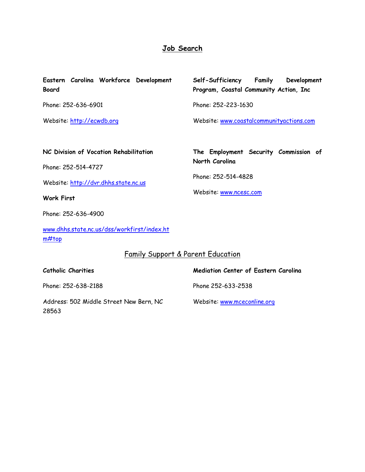# **Job Search**

**Eastern Carolina Workforce Development Board**

Phone: 252-636-6901

Website: [http://ecwdb.org](http://ecwdb.org/)

**Self-Sufficiency Family Development Program, Coastal Community Action, Inc**

Phone: 252-223-1630

**North Carolina**

Phone: 252-514-4828

Website: [www.ncesc.com](http://www.ncesc.com/)

Website: [www.coastalcommunityactions.com](http://www.coastalcommunityactions.com/)

**The Employment Security Commission of** 

#### **NC Division of Vocation Rehabilitation**

Phone: 252-514-4727

Website: [http://dvr.dhhs.state.nc.us](http://dvr.dhhs.state.nc.us/)

**Work First**

Phone: 252-636-4900

[www.dhhs.state.nc.us/dss/workfirst/index.ht](http://www.dhhs.state.nc.us/dss/workfirst/index.htm) [m#top](http://www.dhhs.state.nc.us/dss/workfirst/index.htm)

## Family Support & Parent Education

**Catholic Charities**

Phone: 252-638-2188

Address: 502 Middle Street New Bern, NC 28563

**Mediation Center of Eastern Carolina**

Phone 252-633-2538

Website: [www.mceconline.org](http://www.mceconline.org/)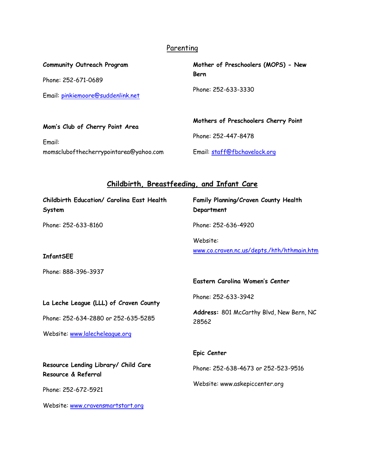# **Parenting**

**Community Outreach Program**

Phone: 252-671-0689

Email: [pinkiemoore@suddenlink.net](mailto:pinkiemoore@suddenlink.net)

**Mother of Preschoolers (MOPS) - New Bern**

Phone: 252-633-3330

| Mom's Club of Cherry Point Area        | Mothers of Preschoolers Cherry Point |  |
|----------------------------------------|--------------------------------------|--|
| Email:                                 | Phone: 252-447-8478                  |  |
| momsclubofthecherrypointarea@yahoo.com | Email: staff@fbchavelock.org         |  |

# **Childbirth, Breastfeeding, and Infant Care**

| <b>Childbirth Education/ Carolina East Health</b><br>System | Family Planning/Craven County Health<br>Department     |
|-------------------------------------------------------------|--------------------------------------------------------|
| Phone: 252-633-8160                                         | Phone: 252-636-4920                                    |
| <b>InfantSEE</b>                                            | Website:<br>www.co.craven.nc.us/depts./hth/hthmain.htm |
| Phone: 888-396-3937                                         | Eastern Carolina Women's Center                        |
| La Leche League (LLL) of Craven County                      | Phone: 252-633-3942                                    |
| Phone: 252-634-2880 or 252-635-5285                         | Address: 801 McCarthy Blvd, New Bern, NC<br>28562      |
| Website: www.lalecheleague.org                              |                                                        |
|                                                             | Epic Center                                            |
| Resource Lending Library/ Child Care<br>Resource & Referral | Phone: 252-638-4673 or 252-523-9516                    |
| Phone: 252-672-5921                                         | Website: www.askepiccenter.org                         |
|                                                             |                                                        |

Website: [www.cravensmartstart.org](http://www.cravensmartstart.org/)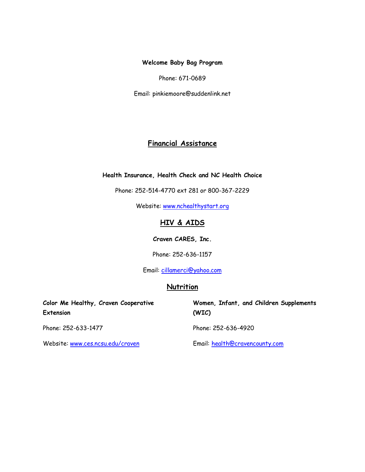#### **Welcome Baby Bag Program**

Phone: 671-0689

Email: pinkiemoore@suddenlink.net

## **Financial Assistance**

#### **Health Insurance, Health Check and NC Health Choice**

Phone: 252-514-4770 ext 281 or 800-367-2229

Website: [www.nchealthystart.org](http://www.nchealthystart.org/)

## **HIV & AIDS**

**Craven CARES, Inc.**

Phone: 252-636-1157

Email: [cillamerci@yahoo.com](mailto:cillamerci@yahoo.com)

# **Nutrition**

**Color Me Healthy, Craven Cooperative Extension**

Phone: 252-633-1477

Website: [www.ces.ncsu.edu/craven](http://www.ces.ncsu.edu/craven)

**Women, Infant, and Children Supplements (WIC)**

Phone: 252-636-4920

Email: [health@cravencounty.com](mailto:health@cravencounty.com)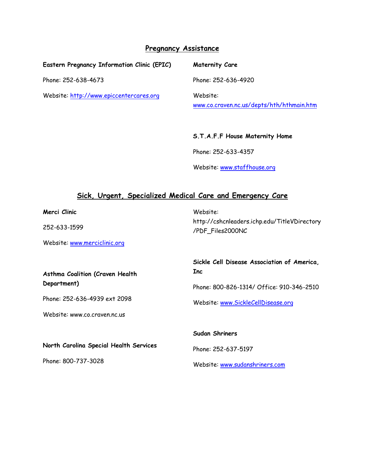## **Pregnancy Assistance**

**Eastern Pregnancy Information Clinic (EPIC)**

Phone: 252-638-4673

Website: [http://www.epiccentercares.org](http://www.epiccentercares.org/)

**Maternity Care**

Phone: 252-636-4920

Website: [www.co.craven.nc.us/depts/hth/hthmain.htm](http://www.co.craven.nc.us/depts/hth/hthmain.htm)

#### **S.T.A.F.F House Maternity Home**

Phone: 252-633-4357

Website: [www.staffhouse.org](http://www.staffhouse.org/)

## **Sick, Urgent, Specialized Medical Care and Emergency Care**

**Merci Clinic**

252-633-1599

Website: [www.merciclinic.org](http://www.merciclinic.org/)

Website: http://cshcnleaders.ichp.edu/TitleVDirectory /PDF\_Files2000NC

|             | Asthma Coalition (Craven Health |  |
|-------------|---------------------------------|--|
| Department) |                                 |  |

Phone: 252-636-4939 ext 2098

Website: www.co.craven.nc.us

**North Carolina Special Health Services**

Phone: 800-737-3028

**Sickle Cell Disease Association of America, Inc**

Phone: 800-826-1314/ Office: 910-346-2510

Website: [www.SickleCellDisease.org](http://www.sicklecelldisease.org/)

**Sudan Shriners** Phone: 252-637-5197

Website: [www.sudanshriners.com](http://www.sudanshriners.com/)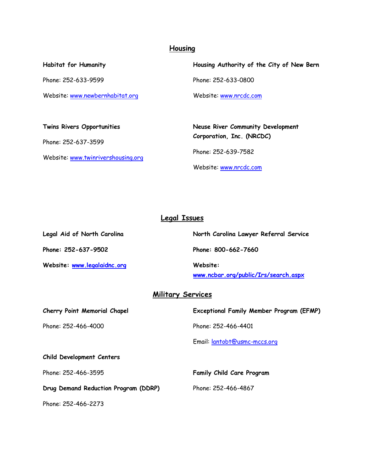## **Housing**

**Habitat for Humanity**

Phone: 252-633-9599

Website: [www.newbernhabitat.org](http://www.newbernhabitat.org/)

**Twins Rivers Opportunities** Phone: 252-637-3599

Website: [www.twinrivershousing.org](http://www.twinrivershousing.org/)

**Housing Authority of the City of New Bern**

Phone: 252-633-0800

Website: [www.nrcdc.com](http://www.nrcdc.com/)

**Neuse River Community Development Corporation, Inc. (NRCDC)**

Phone: 252-639-7582

Website: [www.nrcdc.com](http://www.nrcdc.com/)

## **Legal Issues**

**Legal Aid of North Carolina**

**Phone: 252-637-9502**

**Website: [www.legalaidnc.org](http://www.legalaidnc.org/)**

**North Carolina Lawyer Referral Service Phone: 800-662-7660 Website: [www.ncbar.org/public/Irs/search.aspx](http://www.ncbar.org/public/Irs/search.aspx)**

# **Military Services**

**Cherry Point Memorial Chapel**

Phone: 252-466-4000

**Exceptional Family Member Program (EFMP)**

Phone: 252-466-4401

Email: [lantobt@usmc-mccs.org](mailto:lantobt@usmc-mccs.org)

#### **Child Development Centers**

Phone: 252-466-3595

**Drug Demand Reduction Program (DDRP)**

Phone: 252-466-2273

**Family Child Care Program** Phone: 252-466-4867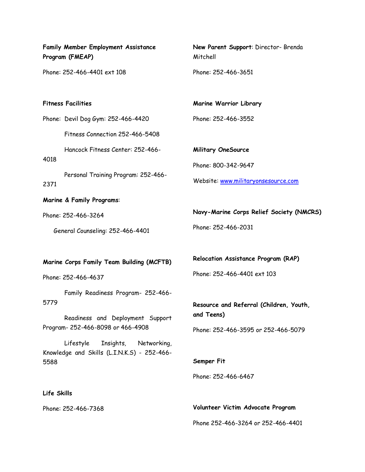| <b>Family Member Employment Assistance</b><br>Program (FMEAP) |                                                                                                             | New Parent Support: Director- Brenda<br>Mitchell      |  |
|---------------------------------------------------------------|-------------------------------------------------------------------------------------------------------------|-------------------------------------------------------|--|
|                                                               | Phone: 252-466-4401 ext 108                                                                                 | Phone: 252-466-3651                                   |  |
|                                                               | <b>Fitness Facilities</b>                                                                                   | Marine Warrior Library                                |  |
|                                                               | Phone: Devil Dog Gym: 252-466-4420                                                                          | Phone: 252-466-3552                                   |  |
|                                                               | Fitness Connection 252-466-5408                                                                             |                                                       |  |
|                                                               | Hancock Fitness Center: 252-466-                                                                            | <b>Military OneSource</b>                             |  |
| 4018                                                          |                                                                                                             | Phone: 800-342-9647                                   |  |
| 2371                                                          | Personal Training Program: 252-466-                                                                         | Website: www.militaryonsesource.com                   |  |
|                                                               | <b>Marine &amp; Family Programs:</b>                                                                        |                                                       |  |
|                                                               | Phone: 252-466-3264                                                                                         | Navy-Marine Corps Relief Society (NMCRS)              |  |
|                                                               | General Counseling: 252-466-4401                                                                            | Phone: 252-466-2031                                   |  |
|                                                               | Marine Corps Family Team Building (MCFTB)                                                                   | Relocation Assistance Program (RAP)                   |  |
| Phone: 252-466-4637                                           |                                                                                                             | Phone: 252-466-4401 ext 103                           |  |
| 5779                                                          | Family Readiness Program- 252-466-<br>Readiness and Deployment Support<br>Program- 252-466-8098 or 466-4908 | Resource and Referral (Children, Youth,<br>and Teens) |  |
| 5588                                                          | Lifestyle Insights, Networking,<br>Knowledge and Skills (L.I.N.K.S) - 252-466-                              | Phone: 252-466-3595 or 252-466-5079<br>Semper Fit     |  |
|                                                               |                                                                                                             | Phone: 252-466-6467                                   |  |
| Life Skills                                                   |                                                                                                             |                                                       |  |
|                                                               | Phone: 252-466-7368                                                                                         | Volunteer Victim Advocate Program                     |  |
|                                                               |                                                                                                             | Phone 252-466-3264 or 252-466-4401                    |  |